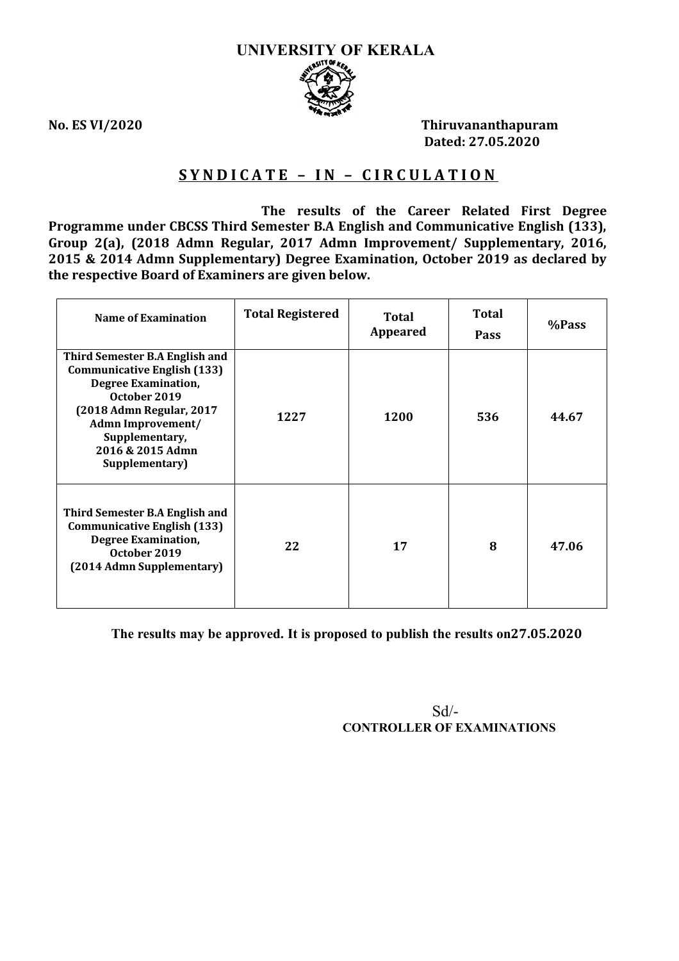

**No. ES VI/2020 Thiruvananthapuram Dated: 27.05.2020**

# **S Y N D I C A T E – I N – C I R C U L A T I O N**

 **The results of the Career Related First Degree Programme under CBCSS Third Semester B.A English and Communicative English (133), Group 2(a), (2018 Admn Regular, 2017 Admn Improvement/ Supplementary, 2016, 2015 & 2014 Admn Supplementary) Degree Examination, October 2019 as declared by the respective Board of Examiners are given below.**

| Name of Examination                                                                                                                                                                                                                | <b>Total Registered</b> | Total<br><b>Appeared</b> | <b>Total</b><br><b>Pass</b> | %Pass |
|------------------------------------------------------------------------------------------------------------------------------------------------------------------------------------------------------------------------------------|-------------------------|--------------------------|-----------------------------|-------|
| Third Semester B.A English and<br><b>Communicative English (133)</b><br><b>Degree Examination,</b><br>October 2019<br>(2018 Admn Regular, 2017<br><b>Admn Improvement/</b><br>Supplementary,<br>2016 & 2015 Admn<br>Supplementary) | 1227                    | 1200                     | 536                         | 44.67 |
| Third Semester B.A English and<br><b>Communicative English (133)</b><br><b>Degree Examination,</b><br>October 2019<br>(2014 Admn Supplementary)                                                                                    | 22                      | 17                       | 8                           | 47.06 |

**The results may be approved. It is proposed to publish the results on27.05.2020**

 Sd/- **CONTROLLER OF EXAMINATIONS**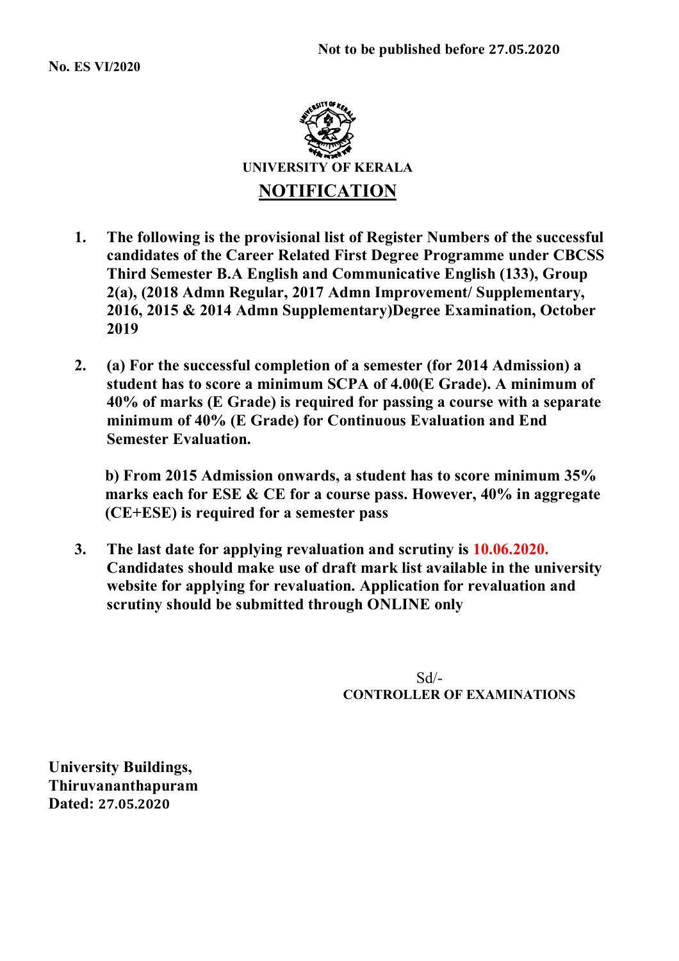

- **1. The following is the provisional list of Register Numbers of the successful candidates of the Career Related First Degree Programme under CBCSS Third Semester B.A English and Communicative English (133), Group 2(a), (2018 Admn Regular, 2017 Admn Improvement/ Supplementary, 2016, 2015 & 2014 Admn Supplementary)Degree Examination, October 2019**
- **2. (a) For the successful completion of a semester (for 2014 Admission) a student has to score a minimum SCPA of 4.00(E Grade). A minimum of 40% of marks (E Grade) is required for passing a course with a separate minimum of 40% (E Grade) for Continuous Evaluation and End Semester Evaluation.**

**b) From 2015 Admission onwards, a student has to score minimum 35% marks each for ESE & CE for a course pass. However, 40% in aggregate (CE+ESE) is required for a semester pass**

**3. The last date for applying revaluation and scrutiny is 10.06.2020. Candidates should make use of draft mark list available in the university website for applying for revaluation. Application for revaluation and scrutiny should be submitted through ONLINE only**

 Sd/- **CONTROLLER OF EXAMINATIONS**

**University Buildings, Thiruvananthapuram Dated: 27.05.2020**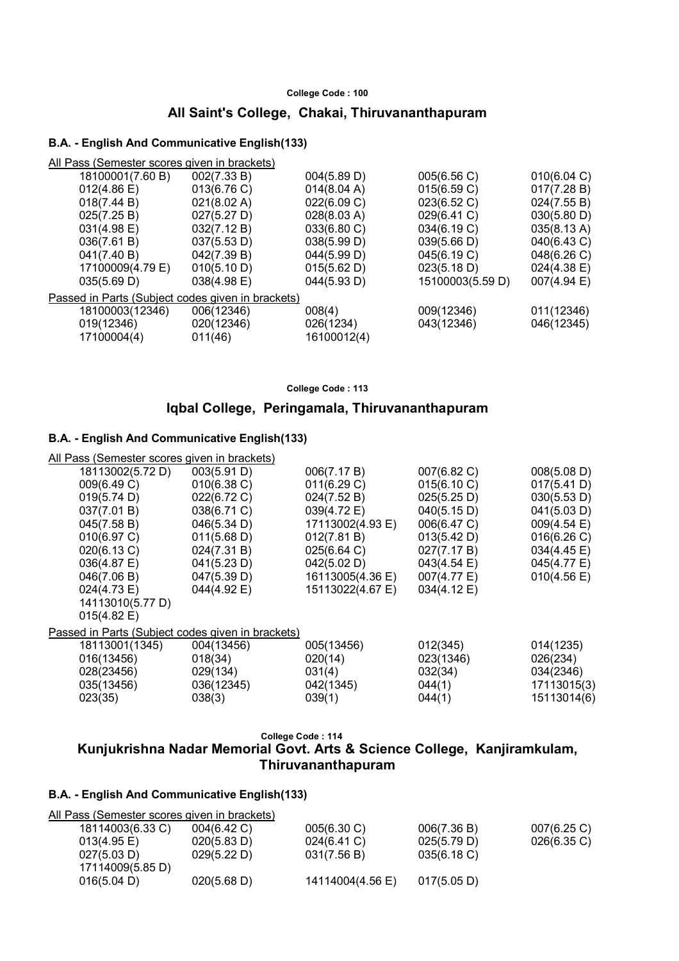### **All Saint's College, Chakai, Thiruvananthapuram**

#### **B.A. - English And Communicative English(133)**

| All Pass (Semester scores given in brackets) |             |                                                   |                       |
|----------------------------------------------|-------------|---------------------------------------------------|-----------------------|
| 002(7.33 B)                                  | 004(5.89 D) | 005(6.56 C)                                       | 010(6.04 C)           |
| 013(6.76 C)                                  | 014(8.04 A) | 015(6.59 C)                                       | 017(7.28 B)           |
| 021(8.02 A)                                  | 022(6.09 C) | 023(6.52 C)                                       | 024(7.55 B)           |
| 027(5.27 D)                                  | 028(8.03 A) | 029(6.41 C)                                       | 030(5.80 D)           |
| 032(7.12 B)                                  | 033(6.80 C) | 034(6.19 C)                                       | 035(8.13 A)           |
| 037(5.53 D)                                  | 038(5.99 D) | 039(5.66 D)                                       | 040(6.43 C)           |
| 042(7.39 B)                                  | 044(5.99 D) | 045(6.19 C)                                       | 048(6.26 C)           |
| 010(5.10 D)                                  | 015(5.62 D) | 023(5.18 D)                                       | $024(4.38)$ E)        |
| 038(4.98 E)                                  | 044(5.93 D) | 15100003(5.59 D)                                  | $007(4.94 \text{ E})$ |
|                                              |             |                                                   |                       |
| 006(12346)                                   | 008(4)      | 009(12346)                                        | 011(12346)            |
| 020(12346)                                   | 026(1234)   | 043(12346)                                        | 046(12345)            |
| 011(46)                                      | 16100012(4) |                                                   |                       |
|                                              |             | Passed in Parts (Subject codes given in brackets) |                       |

**College Code : 113**

### **Iqbal College, Peringamala, Thiruvananthapuram**

#### **B.A. - English And Communicative English(133)**

| All Pass (Semester scores given in brackets)      |                |                  |             |                       |
|---------------------------------------------------|----------------|------------------|-------------|-----------------------|
| 18113002(5.72 D)                                  | 003(5.91 D)    | 006(7.17 B)      | 007(6.82 C) | 008(5.08 D)           |
| 009(6.49 C)                                       | $010(6.38)$ C) | 011(6.29 C)      | 015(6.10 C) | 017(5.41 D)           |
| 019(5.74 D)                                       | 022(6.72 C)    | 024(7.52 B)      | 025(5.25 D) | 030(5.53 D)           |
| 037(7.01 B)                                       | 038(6.71 C)    | 039(4.72 E)      | 040(5.15 D) | 041(5.03 D)           |
| 045(7.58 B)                                       | 046(5.34 D)    | 17113002(4.93 E) | 006(6.47 C) | $009(4.54 \text{ E})$ |
| 010(6.97 C)                                       | 011(5.68 D)    | 012(7.81 B)      | 013(5.42 D) | 016(6.26 C)           |
| 020(6.13 C)                                       | 024(7.31 B)    | 025(6.64 C)      | 027(7.17 B) | 034(4.45 E)           |
| 036(4.87 E)                                       | 041(5.23 D)    | 042(5.02 D)      | 043(4.54 E) | 045(4.77 E)           |
| 046(7.06 B)                                       | 047(5.39 D)    | 16113005(4.36 E) | 007(4.77 E) | 010(4.56 E)           |
| 024(4.73 E)                                       | 044(4.92 E)    | 15113022(4.67 E) | 034(4.12 E) |                       |
| 14113010(5.77 D)                                  |                |                  |             |                       |
| $015(4.82 \text{ E})$                             |                |                  |             |                       |
| Passed in Parts (Subject codes given in brackets) |                |                  |             |                       |
| 18113001(1345)                                    | 004(13456)     | 005(13456)       | 012(345)    | 014(1235)             |
| 016(13456)                                        | 018(34)        | 020(14)          | 023(1346)   | 026(234)              |
| 028(23456)                                        | 029(134)       | 031(4)           | 032(34)     | 034(2346)             |
| 035(13456)                                        | 036(12345)     | 042(1345)        | 044(1)      | 17113015(3)           |
| 023(35)                                           | 038(3)         | 039(1)           | 044(1)      | 15113014(6)           |
|                                                   |                |                  |             |                       |

**College Code : 114**

# **Kunjukrishna Nadar Memorial Govt. Arts & Science College, Kanjiramkulam, Thiruvananthapuram**

| All Pass (Semester scores given in brackets) |                       |                  |             |             |
|----------------------------------------------|-----------------------|------------------|-------------|-------------|
| 18114003(6.33 C)                             | 004(6.42 C)           | 005(6.30 C)      | 006(7.36 B) | 007(6.25 C) |
| $013(4.95 \text{ E})$                        | 020(5.83 D)           | $024(6.41)$ C)   | 025(5.79 D) | 026(6.35 C) |
| 027(5.03 D)                                  | 029(5.22 D)           | 031(7.56 B)      | 035(6.18 C) |             |
| 17114009(5.85 D)                             |                       |                  |             |             |
| 016(5.04 D)                                  | $020(5.68 \text{ D})$ | 14114004(4.56 E) | 017(5.05 D) |             |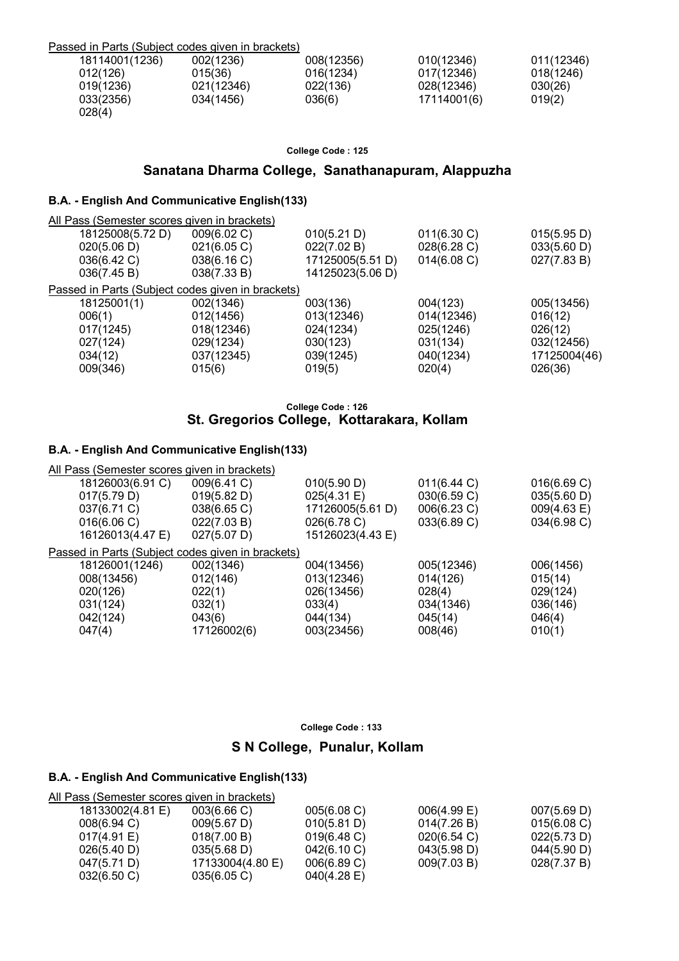| Passed in Parts (Subject codes given in brackets) |            |            |             |            |
|---------------------------------------------------|------------|------------|-------------|------------|
| 18114001(1236)                                    | 002(1236)  | 008(12356) | 010(12346)  | 011(12346) |
| 012(126)                                          | 015(36)    | 016(1234)  | 017(12346)  | 018(1246)  |
| 019(1236)                                         | 021(12346) | 022(136)   | 028(12346)  | 030(26)    |
| 033(2356)<br>028(4)                               | 034(1456)  | 036(6)     | 17114001(6) | 019(2)     |

### **Sanatana Dharma College, Sanathanapuram, Alappuzha**

### **B.A. - English And Communicative English(133)**

| All Pass (Semester scores given in brackets)      |             |                  |             |              |
|---------------------------------------------------|-------------|------------------|-------------|--------------|
| 18125008(5.72 D)                                  | 009(6.02 C) | 010(5.21 D)      | 011(6.30 C) | 015(5.95 D)  |
| 020(5.06 D)                                       | 021(6.05 C) | 022(7.02 B)      | 028(6.28 C) | 033(5.60 D)  |
| 036(6.42 C)                                       | 038(6.16 C) | 17125005(5.51 D) | 014(6.08)   | 027(7.83 B)  |
| 036(7.45 B)                                       | 038(7.33 B) | 14125023(5.06 D) |             |              |
| Passed in Parts (Subject codes given in brackets) |             |                  |             |              |
| 18125001(1)                                       | 002(1346)   | 003(136)         | 004(123)    | 005(13456)   |
| 006(1)                                            | 012(1456)   | 013(12346)       | 014(12346)  | 016(12)      |
| 017(1245)                                         | 018(12346)  | 024(1234)        | 025(1246)   | 026(12)      |
| 027(124)                                          | 029(1234)   | 030(123)         | 031(134)    | 032(12456)   |
| 034(12)                                           | 037(12345)  | 039(1245)        | 040(1234)   | 17125004(46) |
| 009(346)                                          | 015(6)      | 019(5)           | 020(4)      | 026(36)      |
|                                                   |             |                  |             |              |

#### **College Code : 126 St. Gregorios College, Kottarakara, Kollam**

### **B.A. - English And Communicative English(133)**

| All Pass (Semester scores given in brackets)      |             |                  |             |             |
|---------------------------------------------------|-------------|------------------|-------------|-------------|
| 18126003(6.91 C)                                  | 009(6.41 C) | 010(5.90 D)      | 011(6.44 C) | 016(6.69 C) |
| 017(5.79 D)                                       | 019(5.82 D) | 025(4.31 E)      | 030(6.59 C) | 035(5.60 D) |
| 037(6.71 C)                                       | 038(6.65 C) | 17126005(5.61 D) | 006(6.23 C) | 009(4.63 E) |
| 016(6.06 C)                                       | 022(7.03 B) | 026(6.78 C)      | 033(6.89 C) | 034(6.98 C) |
| 16126013(4.47 E)                                  | 027(5.07 D) | 15126023(4.43 E) |             |             |
| Passed in Parts (Subject codes given in brackets) |             |                  |             |             |
| 18126001(1246)                                    | 002(1346)   | 004(13456)       | 005(12346)  | 006(1456)   |
| 008(13456)                                        | 012(146)    | 013(12346)       | 014(126)    | 015(14)     |
| 020(126)                                          | 022(1)      | 026(13456)       | 028(4)      | 029(124)    |
| 031(124)                                          | 032(1)      | 033(4)           | 034(1346)   | 036(146)    |
| 042(124)                                          | 043(6)      | 044(134)         | 045(14)     | 046(4)      |
| 047(4)                                            | 17126002(6) | 003(23456)       | 008(46)     | 010(1)      |
|                                                   |             |                  |             |             |

**College Code : 133**

# **S N College, Punalur, Kollam**

### **B.A. - English And Communicative English(133)**

### All Pass (Semester scores given in brackets)

| 18133002(4.81 E)        | 003(6.66)             | 005(6.08)   | $006(4.99)$ E) | 007(5.69 D) |
|-------------------------|-----------------------|-------------|----------------|-------------|
| $008(6.94)$ C)          | $009(5.67 \text{ D})$ | 010(5.81 D) | 014(7.26 B)    | 015(6.08)   |
| 017(4.91 E)             | 018(7.00 B)           | 019(6.48)   | 020(6.54)      | 022(5.73 D) |
| 026(5.40 D)             | $035(5.68)$ D)        | 042(6.10)   | 043(5.98 D)    | 044(5.90 D) |
| 047(5.71 D)             | 17133004(4.80 E)      | 006(6.89 C) | 009(7.03 B)    | 028(7.37 B) |
| $032(6.50 \, \text{C})$ | 035(6.05)             | 040(4.28 E) |                |             |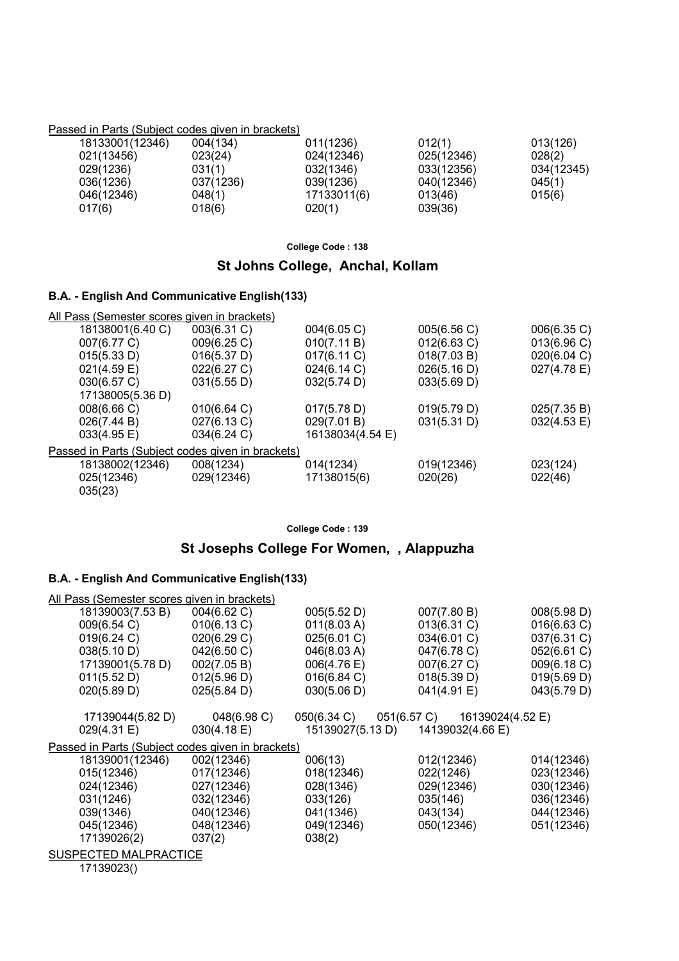#### Passed in Parts (Subject codes given in brackets)

| 18133001(12346) | 004(134)  | 011(1236)   | 012(1)     | 013(126)   |
|-----------------|-----------|-------------|------------|------------|
| 021(13456)      | 023(24)   | 024(12346)  | 025(12346) | 028(2)     |
| 029(1236)       | 031(1)    | 032(1346)   | 033(12356) | 034(12345) |
| 036(1236)       | 037(1236) | 039(1236)   | 040(12346) | 045(1)     |
| 046(12346)      | 048(1)    | 17133011(6) | 013(46)    | 015(6)     |
| 017(6)          | 018(6)    | 020(1)      | 039(36)    |            |

**College Code : 138**

### **St Johns College, Anchal, Kollam**

### **B.A. - English And Communicative English(133)**

| All Pass (Semester scores given in brackets)      |             |                  |             |             |
|---------------------------------------------------|-------------|------------------|-------------|-------------|
| 18138001(6.40 C)                                  | 003(6.31 C) | 004(6.05 C)      | 005(6.56 C) | 006(6.35 C) |
| 007(6.77 C)                                       | 009(6.25 C) | 010(7.11 B)      | 012(6.63 C) | 013(6.96 C) |
| 015(5.33 D)                                       | 016(5.37 D) | 017(6.11 C)      | 018(7.03 B) | 020(6.04 C) |
| 021(4.59 E)                                       | 022(6.27 C) | 024(6.14 C)      | 026(5.16 D) | 027(4.78 E) |
| 030(6.57 C)                                       | 031(5.55 D) | 032(5.74 D)      | 033(5.69 D) |             |
| 17138005(5.36 D)                                  |             |                  |             |             |
| 008(6.66 C)                                       | 010(6.64 C) | 017(5.78 D)      | 019(5.79 D) | 025(7.35 B) |
| 026(7.44 B)                                       | 027(6.13 C) | 029(7.01 B)      | 031(5.31 D) | 032(4.53 E) |
| 033(4.95 E)                                       | 034(6.24 C) | 16138034(4.54 E) |             |             |
| Passed in Parts (Subject codes given in brackets) |             |                  |             |             |
| 18138002(12346)                                   | 008(1234)   | 014(1234)        | 019(12346)  | 023(124)    |
| 025(12346)<br>035(23)                             | 029(12346)  | 17138015(6)      | 020(26)     | 022(46)     |

**College Code : 139**

# **St Josephs College For Women, , Alappuzha**

# **B.A. - English And Communicative English(133)**

| All Pass (Semester scores given in brackets)      |                       |                                   |                              |             |
|---------------------------------------------------|-----------------------|-----------------------------------|------------------------------|-------------|
| 18139003(7.53 B)                                  | 004(6.62 C)           | 005(5.52 D)                       | 007(7.80 B)                  | 008(5.98 D) |
| 009(6.54 C)                                       | 010(6.13 C)           | 011(8.03 A)                       | $013(6.31)$ C)               | 016(6.63 C) |
| 019(6.24 C)                                       | 020(6.29 C)           | 025(6.01 C)                       | 034(6.01 C)                  | 037(6.31 C) |
| 038(5.10 D)                                       | 042(6.50 C)           | 046(8.03 A)                       | 047(6.78 C)                  | 052(6.61 C) |
| 17139001(5.78 D)                                  | 002(7.05 B)           | $006(4.76)$ E)                    | 007(6.27 C)                  | 009(6.18 C) |
| 011(5.52 D)                                       | 012(5.96 D)           | 016(6.84 C)                       | 018(5.39 D)                  | 019(5.69 D) |
| 020(5.89 D)                                       | $025(5.84 \text{ D})$ | 030(5.06 D)                       | 041(4.91 E)                  | 043(5.79 D) |
| 17139044(5.82 D)                                  | 048(6.98 C)           | 050(6.34 C)                       | 051(6.57 C) 16139024(4.52 E) |             |
| 029(4.31 E)                                       | $030(4.18 \text{ E})$ | 15139027(5.13 D) 14139032(4.66 E) |                              |             |
| Passed in Parts (Subject codes given in brackets) |                       |                                   |                              |             |
| 18139001(12346)                                   | 002(12346)            | 006(13)                           | 012(12346)                   | 014(12346)  |
| 015(12346)                                        | 017(12346)            | 018(12346)                        | 022(1246)                    | 023(12346)  |
| 024(12346)                                        | 027(12346)            | 028(1346)                         | 029(12346)                   | 030(12346)  |
| 031(1246)                                         | 032(12346)            | 033(126)                          | 035(146)                     | 036(12346)  |
| 039(1346)                                         | 040(12346)            | 041(1346)                         | 043(134)                     | 044(12346)  |
| 045(12346)                                        | 048(12346)            | 049(12346)                        | 050(12346)                   | 051(12346)  |
| 17139026(2)                                       | 037(2)                | 038(2)                            |                              |             |
| SUSPECTED MALPRACTICE                             |                       |                                   |                              |             |

17139023()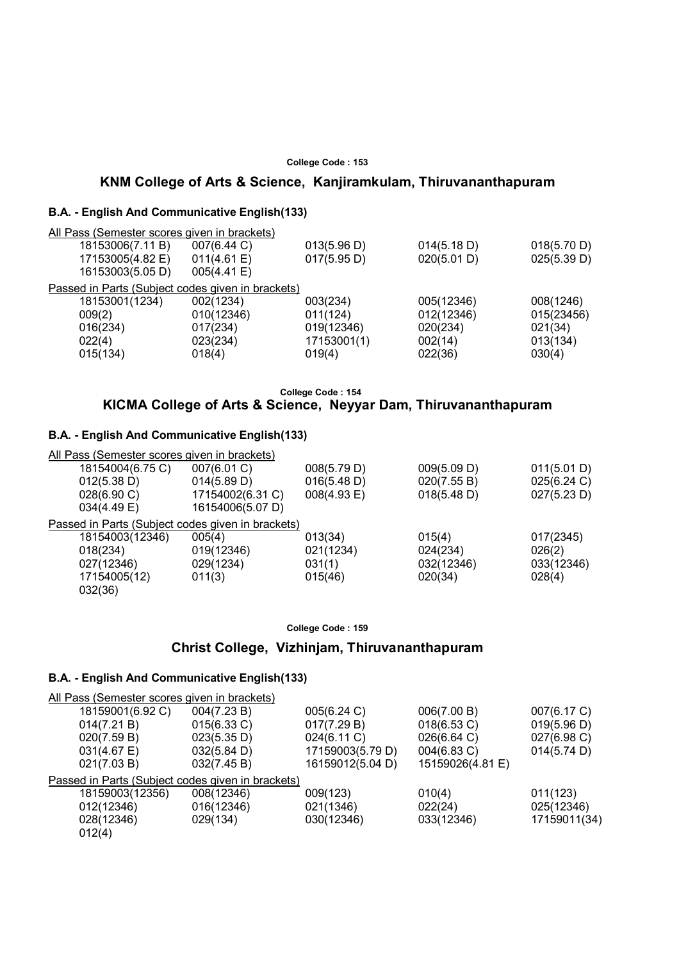### **KNM College of Arts & Science, Kanjiramkulam, Thiruvananthapuram**

#### **B.A. - English And Communicative English(133)**

| All Pass (Semester scores given in brackets)      |             |             |             |             |
|---------------------------------------------------|-------------|-------------|-------------|-------------|
| 18153006(7.11 B)                                  | 007(6.44 C) | 013(5.96 D) | 014(5.18 D) | 018(5.70 D) |
| 17153005(4.82 E)                                  | 011(4.61 E) | 017(5.95 D) | 020(5.01 D) | 025(5.39 D) |
| 16153003(5.05 D)                                  | 005(4.41 E) |             |             |             |
| Passed in Parts (Subject codes given in brackets) |             |             |             |             |
| 18153001(1234)                                    | 002(1234)   | 003(234)    | 005(12346)  | 008(1246)   |
| 009(2)                                            | 010(12346)  | 011(124)    | 012(12346)  | 015(23456)  |
| 016(234)                                          | 017(234)    | 019(12346)  | 020(234)    | 021(34)     |
| 022(4)                                            | 023(234)    | 17153001(1) | 002(14)     | 013(134)    |
| 015(134)                                          | 018(4)      | 019(4)      | 022(36)     | 030(4)      |
|                                                   |             |             |             |             |

#### **College Code : 154**

# **KICMA College of Arts & Science, Neyyar Dam, Thiruvananthapuram**

### **B.A. - English And Communicative English(133)**

| All Pass (Semester scores given in brackets) |                       |                                                   |             |
|----------------------------------------------|-----------------------|---------------------------------------------------|-------------|
| 007(6.01 C)                                  | 008(5.79 D)           | 009(5.09 D)                                       | 011(5.01 D) |
| 014(5.89 D)                                  | 016(5.48 D)           | 020(7.55 B)                                       | 025(6.24 C) |
| 17154002(6.31 C)                             | $008(4.93 \text{ E})$ | 018(5.48 D)                                       | 027(5.23 D) |
| 16154006(5.07 D)                             |                       |                                                   |             |
|                                              |                       |                                                   |             |
| 005(4)                                       | 013(34)               | 015(4)                                            | 017(2345)   |
| 019(12346)                                   | 021(1234)             | 024(234)                                          | 026(2)      |
| 029(1234)                                    | 031(1)                | 032(12346)                                        | 033(12346)  |
| 011(3)                                       | 015(46)               | 020(34)                                           | 028(4)      |
|                                              |                       |                                                   |             |
|                                              |                       | Passed in Parts (Subject codes given in brackets) |             |

#### **College Code : 159**

### **Christ College, Vizhinjam, Thiruvananthapuram**

| All Pass (Semester scores given in brackets)      |                       |                  |                  |              |
|---------------------------------------------------|-----------------------|------------------|------------------|--------------|
| 18159001(6.92 C)                                  | 004(7.23 B)           | 005(6.24 C)      | 006(7.00 B)      | 007(6.17 C)  |
| 014(7.21 B)                                       | 015(6.33 C)           | 017(7.29 B)      | 018(6.53 C)      | 019(5.96 D)  |
| 020(7.59 B)                                       | 023(5.35 D)           | 024(6.11 C)      | 026(6.64 C)      | 027(6.98 C)  |
| $031(4.67 \text{ E})$                             | $032(5.84 \text{ D})$ | 17159003(5.79 D) | 004(6.83 C)      | 014(5.74 D)  |
| 021(7.03 B)                                       | 032(7.45 B)           | 16159012(5.04 D) | 15159026(4.81 E) |              |
| Passed in Parts (Subject codes given in brackets) |                       |                  |                  |              |
| 18159003(12356)                                   | 008(12346)            | 009(123)         | 010(4)           | 011(123)     |
| 012(12346)                                        | 016(12346)            | 021(1346)        | 022(24)          | 025(12346)   |
| 028(12346)                                        | 029(134)              | 030(12346)       | 033(12346)       | 17159011(34) |
| 012(4)                                            |                       |                  |                  |              |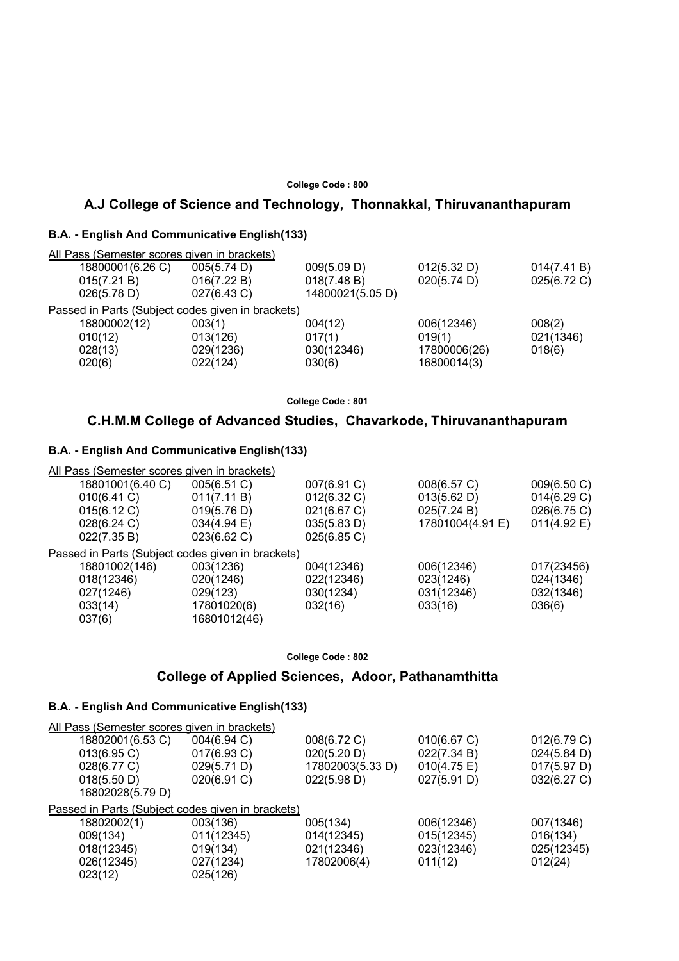### **A.J College of Science and Technology, Thonnakkal, Thiruvananthapuram**

#### **B.A. - English And Communicative English(133)**

| All Pass (Semester scores given in brackets)      |             |                  |              |             |
|---------------------------------------------------|-------------|------------------|--------------|-------------|
| 18800001(6.26 C)                                  | 005(5.74 D) | 009(5.09 D)      | 012(5.32 D)  | 014(7.41 B) |
| 015(7.21 B)                                       | 016(7.22 B) | 018(7.48 B)      | 020(5.74 D)  | 025(6.72 C) |
| 026(5.78 D)                                       | 027(6.43 C) | 14800021(5.05 D) |              |             |
| Passed in Parts (Subject codes given in brackets) |             |                  |              |             |
| 18800002(12)                                      | 003(1)      | 004(12)          | 006(12346)   | 008(2)      |
| 010(12)                                           | 013(126)    | 017(1)           | 019(1)       | 021(1346)   |
| 028(13)                                           | 029(1236)   | 030(12346)       | 17800006(26) | 018(6)      |
| 020(6)                                            | 022(124)    | 030(6)           | 16800014(3)  |             |
|                                                   |             |                  |              |             |

**College Code : 801**

# **C.H.M.M College of Advanced Studies, Chavarkode, Thiruvananthapuram**

#### **B.A. - English And Communicative English(133)**

| All Pass (Semester scores given in brackets) |                                                   |             |                  |             |
|----------------------------------------------|---------------------------------------------------|-------------|------------------|-------------|
| 18801001(6.40 C)                             | 005(6.51 C)                                       | 007(6.91 C) | 008(6.57 C)      | 009(6.50 C) |
| 010(6.41 C)                                  | 011(7.11 B)                                       | 012(6.32 C) | 013(5.62 D)      | 014(6.29 C) |
| 015(6.12 C)                                  | 019(5.76 D)                                       | 021(6.67 C) | 025(7.24 B)      | 026(6.75 C) |
| 028(6.24 C)                                  | 034(4.94 E)                                       | 035(5.83 D) | 17801004(4.91 E) | 011(4.92 E) |
| 022(7.35 B)                                  | 023(6.62 C)                                       | 025(6.85 C) |                  |             |
|                                              | Passed in Parts (Subject codes given in brackets) |             |                  |             |
| 18801002(146)                                | 003(1236)                                         | 004(12346)  | 006(12346)       | 017(23456)  |
| 018(12346)                                   | 020(1246)                                         | 022(12346)  | 023(1246)        | 024(1346)   |
| 027(1246)                                    | 029(123)                                          | 030(1234)   | 031(12346)       | 032(1346)   |
| 033(14)                                      | 17801020(6)                                       | 032(16)     | 033(16)          | 036(6)      |
| 037(6)                                       | 16801012(46)                                      |             |                  |             |

#### **College Code : 802**

### **College of Applied Sciences, Adoor, Pathanamthitta**

| All Pass (Semester scores given in brackets)                                         |                                                             |                                                               |                                                          |                                                          |
|--------------------------------------------------------------------------------------|-------------------------------------------------------------|---------------------------------------------------------------|----------------------------------------------------------|----------------------------------------------------------|
| 18802001(6.53 C)<br>$013(6.95)$ C)<br>028(6.77 C)<br>018(5.50 D)<br>16802028(5.79 D) | 004(6.94 C)<br>017(6.93 C)<br>029(5.71 D)<br>020(6.91 C)    | 008(6.72 C)<br>020(5.20 D)<br>17802003(5.33 D)<br>022(5.98 D) | 010(6.67 C)<br>022(7.34 B)<br>010(4.75 E)<br>027(5.91 D) | 012(6.79 C)<br>024(5.84 D)<br>017(5.97 D)<br>032(6.27 C) |
| Passed in Parts (Subject codes given in brackets)                                    |                                                             |                                                               |                                                          |                                                          |
| 18802002(1)<br>009(134)<br>018(12345)<br>026(12345)<br>023(12)                       | 003(136)<br>011(12345)<br>019(134)<br>027(1234)<br>025(126) | 005(134)<br>014(12345)<br>021(12346)<br>17802006(4)           | 006(12346)<br>015(12345)<br>023(12346)<br>011(12)        | 007(1346)<br>016(134)<br>025(12345)<br>012(24)           |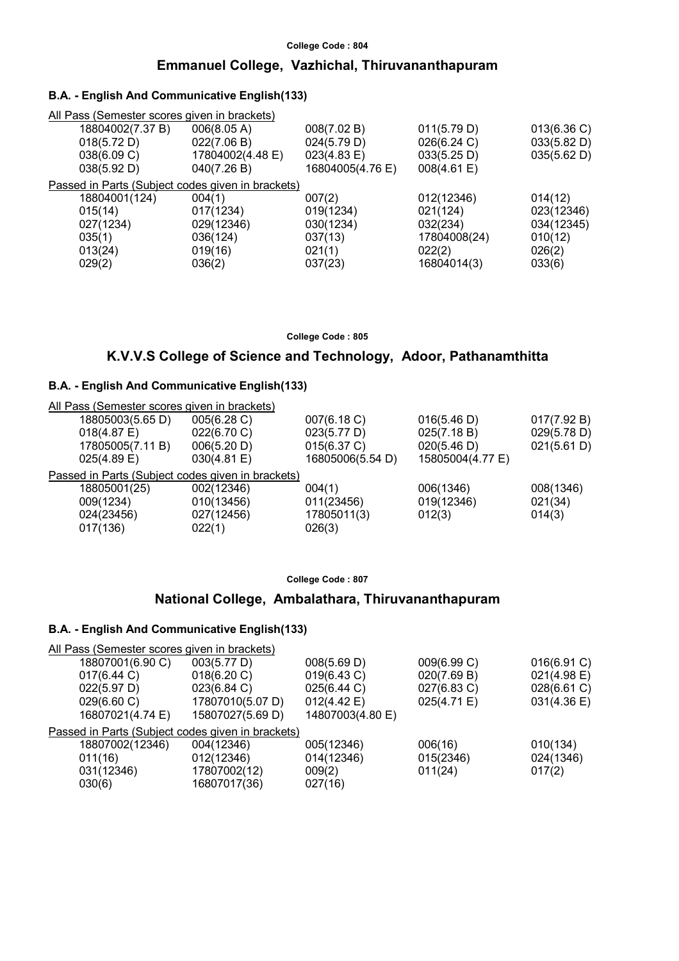### **Emmanuel College, Vazhichal, Thiruvananthapuram**

### **B.A. - English And Communicative English(133)**

| All Pass (Semester scores given in brackets)      |                       |              |             |
|---------------------------------------------------|-----------------------|--------------|-------------|
| 006(8.05 A)                                       | 008(7.02 B)           | 011(5.79 D)  | 013(6.36)   |
| 022(7.06 B)                                       | 024(5.79 D)           | 026(6.24 C)  | 033(5.82 D) |
| 17804002(4.48 E)                                  | $023(4.83 \text{ E})$ | 033(5.25 D)  | 035(5.62 D) |
| 040(7.26 B)                                       | 16804005(4.76 E)      | 008(4.61 E)  |             |
| Passed in Parts (Subject codes given in brackets) |                       |              |             |
| 004(1)                                            | 007(2)                | 012(12346)   | 014(12)     |
| 017(1234)                                         | 019(1234)             | 021(124)     | 023(12346)  |
| 029(12346)                                        | 030(1234)             | 032(234)     | 034(12345)  |
| 036(124)                                          | 037(13)               | 17804008(24) | 010(12)     |
| 019(16)                                           | 021(1)                | 022(2)       | 026(2)      |
| 036(2)                                            | 037(23)               | 16804014(3)  | 033(6)      |
|                                                   |                       |              |             |

**College Code : 805**

### **K.V.V.S College of Science and Technology, Adoor, Pathanamthitta**

### **B.A. - English And Communicative English(133)**

| All Pass (Semester scores given in brackets)      |             |                  |                  |             |
|---------------------------------------------------|-------------|------------------|------------------|-------------|
| 18805003(5.65 D)                                  | 005(6.28 C) | 007(6.18 C)      | 016(5.46 D)      | 017(7.92 B) |
| $018(4.87)$ E)                                    | 022(6.70 C) | 023(5.77 D)      | 025(7.18 B)      | 029(5.78 D) |
| 17805005(7.11 B)                                  | 006(5.20 D) | 015(6.37 C)      | 020(5.46 D)      | 021(5.61 D) |
| $025(4.89)$ E)                                    | 030(4.81)   | 16805006(5.54 D) | 15805004(4.77 E) |             |
| Passed in Parts (Subject codes given in brackets) |             |                  |                  |             |
| 18805001(25)                                      | 002(12346)  | 004(1)           | 006(1346)        | 008(1346)   |
| 009(1234)                                         | 010(13456)  | 011(23456)       | 019(12346)       | 021(34)     |
| 024(23456)                                        | 027(12456)  | 17805011(3)      | 012(3)           | 014(3)      |
| 017(136)                                          | 022(1)      | 026(3)           |                  |             |
|                                                   |             |                  |                  |             |

#### **College Code : 807**

### **National College, Ambalathara, Thiruvananthapuram**

| All Pass (Semester scores given in brackets)      |                  |                  |             |             |
|---------------------------------------------------|------------------|------------------|-------------|-------------|
| 18807001(6.90 C)                                  | 003(5.77 D)      | 008(5.69 D)      | 009(6.99 C) | 016(6.91 C) |
| 017(6.44 C)                                       | 018(6.20 C)      | 019(6.43 C)      | 020(7.69 B) | 021(4.98 E) |
| 022(5.97 D)                                       | 023(6.84 C)      | 025(6.44 C)      | 027(6.83 C) | 028(6.61 C) |
| 029(6.60 C)                                       | 17807010(5.07 D) | 012(4.42 E)      | 025(4.71 E) | 031(4.36 E) |
| 16807021(4.74 E)                                  | 15807027(5.69 D) | 14807003(4.80 E) |             |             |
| Passed in Parts (Subject codes given in brackets) |                  |                  |             |             |
| 18807002(12346)                                   | 004(12346)       | 005(12346)       | 006(16)     | 010(134)    |
| 011(16)                                           | 012(12346)       | 014(12346)       | 015(2346)   | 024(1346)   |
| 031(12346)                                        | 17807002(12)     | 009(2)           | 011(24)     | 017(2)      |
| 030(6)                                            | 16807017(36)     | 027(16)          |             |             |
|                                                   |                  |                  |             |             |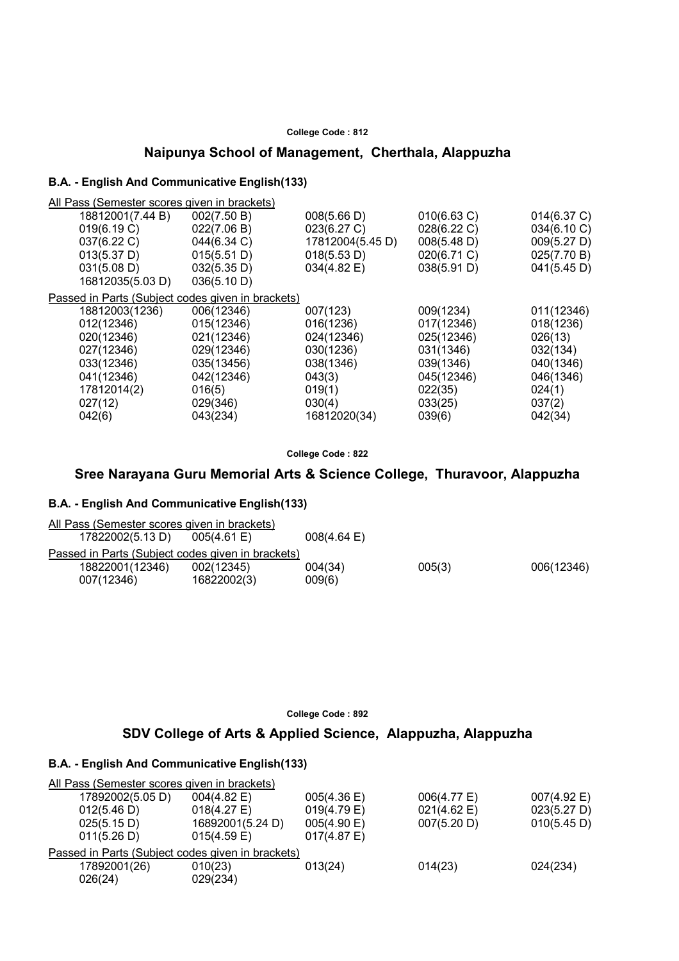# **Naipunya School of Management, Cherthala, Alappuzha**

### **B.A. - English And Communicative English(133)**

All Pass (Semester scores given in brackets)

| 18812001(7.44 B)                                  | 002(7.50 B) | 008(5.66 D)      | 010(6.63 C) | 014(6.37 C) |
|---------------------------------------------------|-------------|------------------|-------------|-------------|
| 019(6.19 C)                                       | 022(7.06 B) | 023(6.27 C)      | 028(6.22 C) | 034(6.10 C) |
| 037(6.22 C)                                       | 044(6.34 C) | 17812004(5.45 D) | 008(5.48 D) | 009(5.27 D) |
| 013(5.37 D)                                       | 015(5.51 D) | 018(5.53 D)      | 020(6.71 C) | 025(7.70 B) |
| 031(5.08 D)                                       | 032(5.35 D) | 034(4.82 E)      | 038(5.91 D) | 041(5.45 D) |
| 16812035(5.03 D)                                  | 036(5.10 D) |                  |             |             |
| Passed in Parts (Subject codes given in brackets) |             |                  |             |             |
| 18812003(1236)                                    | 006(12346)  | 007(123)         | 009(1234)   | 011(12346)  |
| 012(12346)                                        | 015(12346)  | 016(1236)        | 017(12346)  | 018(1236)   |
| 020(12346)                                        | 021(12346)  | 024(12346)       | 025(12346)  | 026(13)     |
| 027(12346)                                        | 029(12346)  | 030(1236)        | 031(1346)   | 032(134)    |
| 033(12346)                                        | 035(13456)  | 038(1346)        | 039(1346)   | 040(1346)   |
| 041(12346)                                        | 042(12346)  | 043(3)           | 045(12346)  | 046(1346)   |
| 17812014(2)                                       | 016(5)      | 019(1)           | 022(35)     | 024(1)      |
| 027(12)                                           | 029(346)    | 030(4)           | 033(25)     | 037(2)      |
| 042(6)                                            | 043(234)    | 16812020(34)     | 039(6)      | 042(34)     |
|                                                   |             |                  |             |             |

**College Code : 822**

# **Sree Narayana Guru Memorial Arts & Science College, Thuravoor, Alappuzha**

#### **B.A. - English And Communicative English(133)**

| All Pass (Semester scores given in brackets)      |                |                       |        |            |
|---------------------------------------------------|----------------|-----------------------|--------|------------|
| 17822002(5.13 D)                                  | $005(4.61)$ E) | $008(4.64 \text{ E})$ |        |            |
| Passed in Parts (Subject codes given in brackets) |                |                       |        |            |
| 18822001(12346)                                   | 002(12345)     | 004(34)               | 005(3) | 006(12346) |
| 007(12346)                                        | 16822002(3)    | 009(6)                |        |            |

**College Code : 892**

# **SDV College of Arts & Applied Science, Alappuzha, Alappuzha**

| All Pass (Semester scores given in brackets) |                                                   |                |             |             |
|----------------------------------------------|---------------------------------------------------|----------------|-------------|-------------|
| 17892002(5.05 D)                             | $004(4.82 \text{ E})$                             | 005(4.36)      | 006(4.77 E) | 007(4.92 E) |
| 012(5.46 D)                                  | $018(4.27)$ E)                                    | 019(4.79 E)    | 021(4.62 E) | 023(5.27 D) |
| 025(5.15 D)                                  | 16892001(5.24 D)                                  | 005(4.90 E)    | 007(5.20 D) | 010(5.45 D) |
| 011(5.26 D)                                  | $015(4.59)$ E)                                    | $017(4.87)$ E) |             |             |
|                                              | Passed in Parts (Subject codes given in brackets) |                |             |             |
| 17892001(26)                                 | 010(23)                                           | 013(24)        | 014(23)     | 024(234)    |
| 026(24)                                      | 029(234)                                          |                |             |             |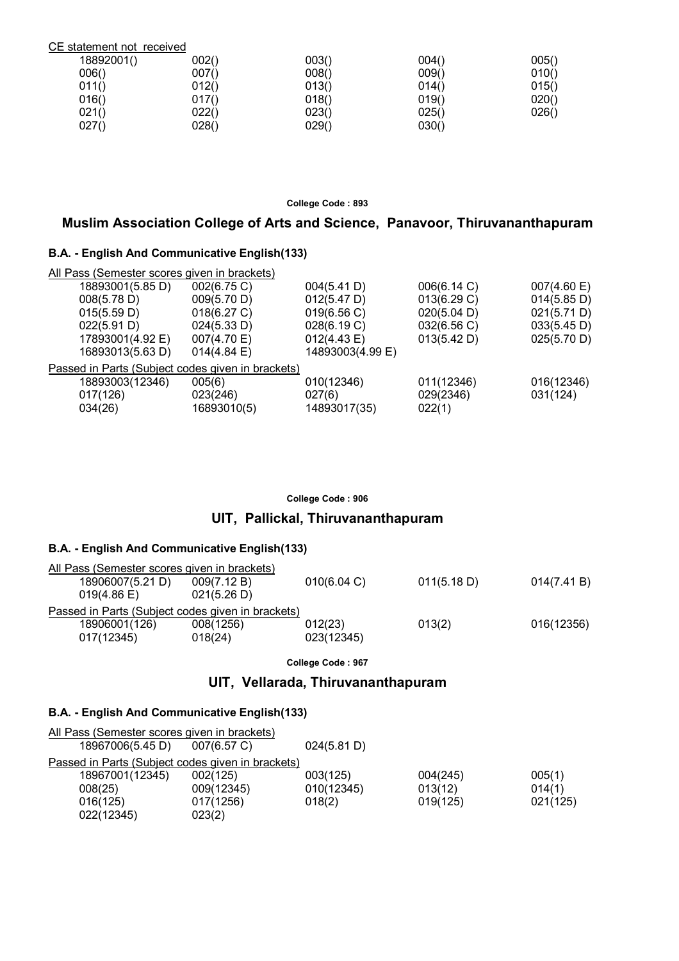| CE statement not received |       |       |       |       |
|---------------------------|-------|-------|-------|-------|
| 18892001()                | 002() | 003() | 004() | 005() |
| 006()                     | 007() | 008() | 009() | 010() |
| 011()                     | 012() | 013() | 014() | 015() |
| 016()                     | 017() | 018() | 019() | 020() |
| 021()                     | 022() | 023() | 025() | 026() |
| 027()                     | 028() | 029() | 030() |       |

# **Muslim Association College of Arts and Science, Panavoor, Thiruvananthapuram**

### **B.A. - English And Communicative English(133)**

| All Pass (Semester scores given in brackets)      |             |                  |             |             |
|---------------------------------------------------|-------------|------------------|-------------|-------------|
| 18893001(5.85 D)                                  | 002(6.75 C) | 004(5.41 D)      | 006(6.14 C) | 007(4.60 E) |
| 008(5.78 D)                                       | 009(5.70 D) | 012(5.47 D)      | 013(6.29 C) | 014(5.85 D) |
| 015(5.59 D)                                       | 018(6.27 C) | 019(6.56 C)      | 020(5.04 D) | 021(5.71 D) |
| 022(5.91 D)                                       | 024(5.33 D) | 028(6.19 C)      | 032(6.56 C) | 033(5.45 D) |
| 17893001(4.92 E)                                  | 007(4.70 E) | 012(4.43 E)      | 013(5.42 D) | 025(5.70 D) |
| 16893013(5.63 D)                                  | 014(4.84)   | 14893003(4.99 E) |             |             |
| Passed in Parts (Subject codes given in brackets) |             |                  |             |             |
| 18893003(12346)                                   | 005(6)      | 010(12346)       | 011(12346)  | 016(12346)  |
| 017(126)                                          | 023(246)    | 027(6)           | 029(2346)   | 031(124)    |
| 034(26)                                           | 16893010(5) | 14893017(35)     | 022(1)      |             |
|                                                   |             |                  |             |             |

#### **College Code : 906**

# **UIT, Pallickal, Thiruvananthapuram**

### **B.A. - English And Communicative English(133)**

| All Pass (Semester scores given in brackets)      |             |             |             |             |
|---------------------------------------------------|-------------|-------------|-------------|-------------|
| 18906007(5.21 D)                                  | 009(7.12 B) | 010(6.04 C) | 011(5.18 D) | 014(7.41 B) |
| $019(4.86 \text{ E})$                             | 021(5.26 D) |             |             |             |
| Passed in Parts (Subject codes given in brackets) |             |             |             |             |
| 18906001(126)                                     | 008(1256)   | 012(23)     | 013(2)      | 016(12356)  |
| 017(12345)                                        | 018(24)     | 023(12345)  |             |             |
|                                                   |             |             |             |             |

**College Code : 967**

# **UIT, Vellarada, Thiruvananthapuram**

| All Pass (Semester scores given in brackets)      |                |             |          |          |
|---------------------------------------------------|----------------|-------------|----------|----------|
| 18967006(5.45 D)                                  | $007(6.57)$ C) | 024(5.81 D) |          |          |
| Passed in Parts (Subject codes given in brackets) |                |             |          |          |
| 18967001(12345)                                   | 002(125)       | 003(125)    | 004(245) | 005(1)   |
| 008(25)                                           | 009(12345)     | 010(12345)  | 013(12)  | 014(1)   |
| 016(125)                                          | 017(1256)      | 018(2)      | 019(125) | 021(125) |
| 022(12345)                                        | 023(2)         |             |          |          |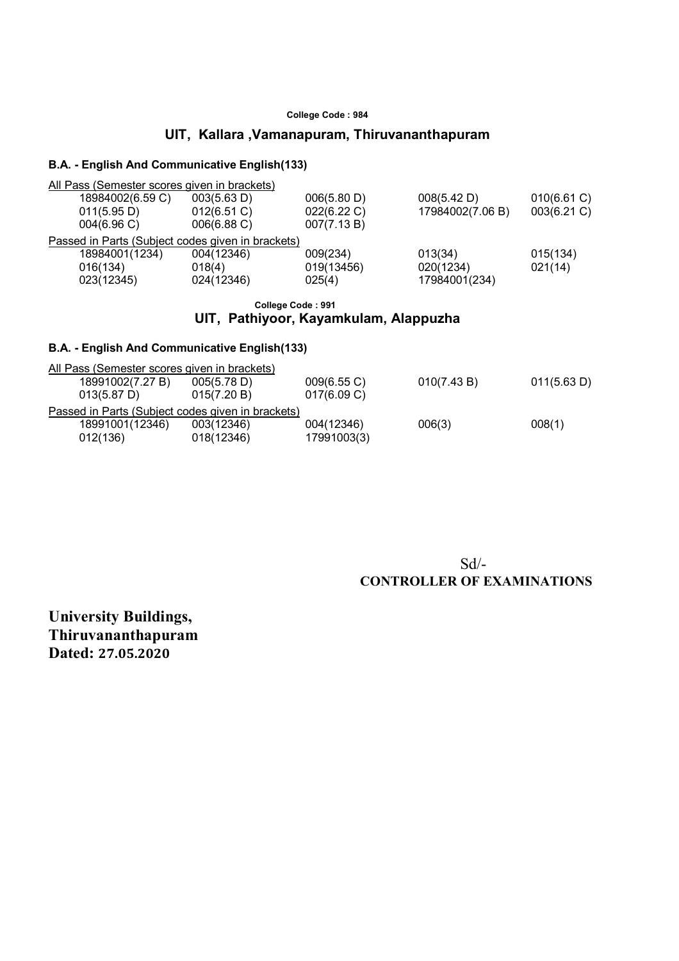# **UIT, Kallara ,Vamanapuram, Thiruvananthapuram**

### **B.A. - English And Communicative English(133)**

|          |                                 | All Pass (Semester scores given in brackets)                                   |                                           |                                       |                            |
|----------|---------------------------------|--------------------------------------------------------------------------------|-------------------------------------------|---------------------------------------|----------------------------|
|          | 18984002(6.59 C)<br>011(5.95 D) | 003(5.63 D)<br>012(6.51 C)                                                     | 006(5.80 D)<br>022(6.22 C)<br>007(7.13 B) | 008(5.42 D)<br>17984002(7.06 B)       | 010(6.61 C)<br>003(6.21 C) |
|          | 004(6.96)<br>18984001(1234)     | 006(6.88 C)<br>Passed in Parts (Subject codes given in brackets)<br>004(12346) | 009(234)                                  |                                       |                            |
| 016(134) | 023(12345)                      | 018(4)<br>024(12346)                                                           | 019(13456)<br>025(4)                      | 013(34)<br>020(1234)<br>17984001(234) | 015(134)<br>021(14)        |

#### **College Code : 991 UIT, Pathiyoor, Kayamkulam, Alappuzha**

### **B.A. - English And Communicative English(133)**

| 011(5.63 D) |
|-------------|
|             |
|             |
|             |
|             |
|             |
|             |

### Sd/-  **CONTROLLER OF EXAMINATIONS**

**University Buildings, Thiruvananthapuram Dated: 27.05.2020**